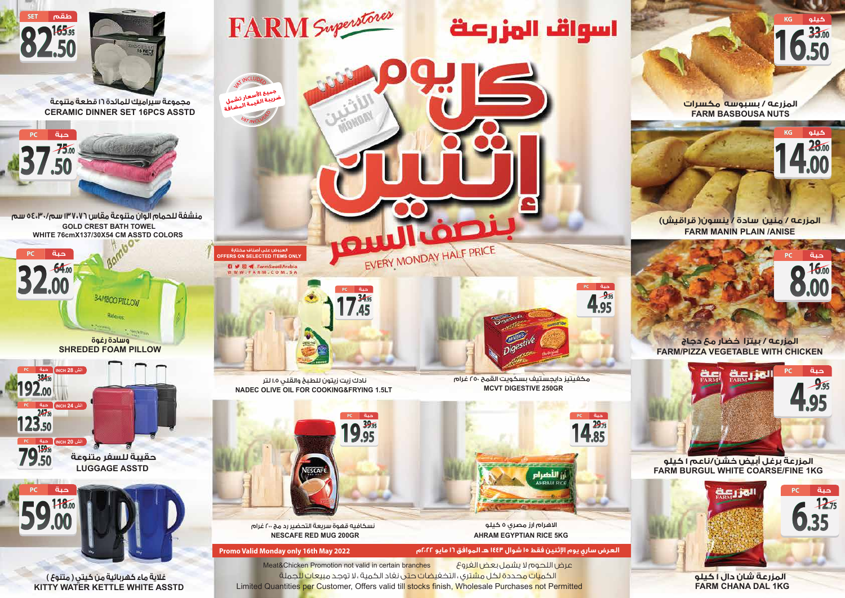**FARM CHANA DAL 1KG**